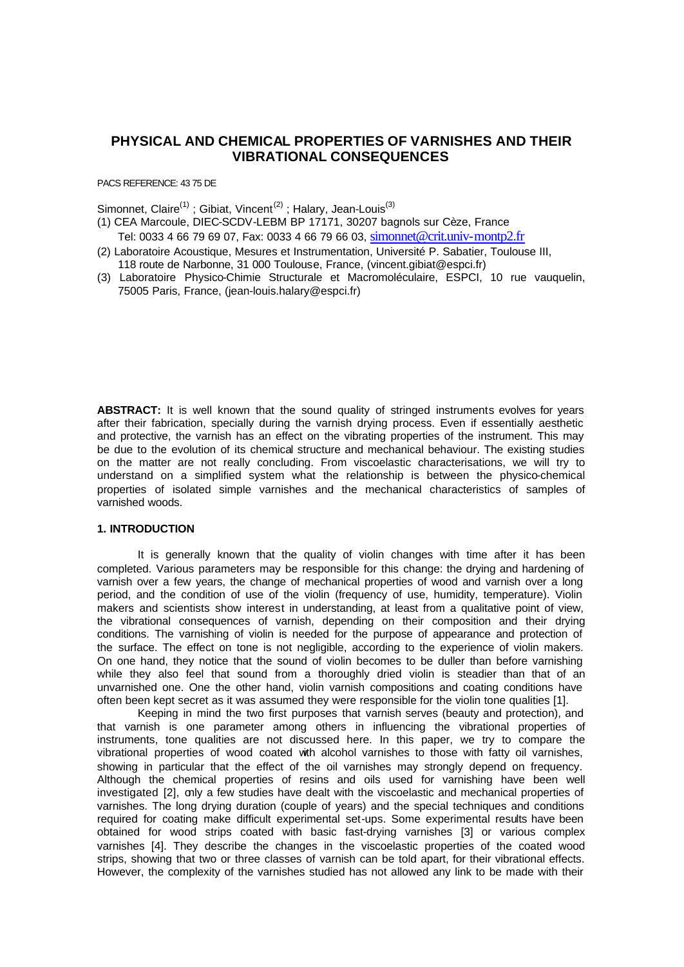# **PHYSICAL AND CHEMICAL PROPERTIES OF VARNISHES AND THEIR VIBRATIONAL CONSEQUENCES**

PACS REFERENCE: 43 75 DE

Simonnet, Claire<sup>(1)</sup>; Gibiat, Vincent<sup>(2)</sup>; Halary, Jean-Louis<sup>(3)</sup>

- (1) CEA Marcoule, DIEC-SCDV-LEBM BP 17171, 30207 bagnols sur Cèze, France Tel: 0033 4 66 79 69 07, Fax: 0033 4 66 79 66 03, simonnet@crit.univ-montp2.fr
- (2) Laboratoire Acoustique, Mesures et Instrumentation, Université P. Sabatier, Toulouse III, 118 route de Narbonne, 31 000 Toulouse, France, (vincent.gibiat@espci.fr)
- (3) Laboratoire Physico-Chimie Structurale et Macromoléculaire, ESPCI, 10 rue vauquelin, 75005 Paris, France, (jean-louis.halary@espci.fr)

**ABSTRACT:** It is well known that the sound quality of stringed instruments evolves for years after their fabrication, specially during the varnish drying process. Even if essentially aesthetic and protective, the varnish has an effect on the vibrating properties of the instrument. This may be due to the evolution of its chemical structure and mechanical behaviour. The existing studies on the matter are not really concluding. From viscoelastic characterisations, we will try to understand on a simplified system what the relationship is between the physico-chemical properties of isolated simple varnishes and the mechanical characteristics of samples of varnished woods.

## **1. INTRODUCTION**

It is generally known that the quality of violin changes with time after it has been completed. Various parameters may be responsible for this change: the drying and hardening of varnish over a few years, the change of mechanical properties of wood and varnish over a long period, and the condition of use of the violin (frequency of use, humidity, temperature). Violin makers and scientists show interest in understanding, at least from a qualitative point of view, the vibrational consequences of varnish, depending on their composition and their drying conditions. The varnishing of violin is needed for the purpose of appearance and protection of the surface. The effect on tone is not negligible, according to the experience of violin makers. On one hand, they notice that the sound of violin becomes to be duller than before varnishing while they also feel that sound from a thoroughly dried violin is steadier than that of an unvarnished one. One the other hand, violin varnish compositions and coating conditions have often been kept secret as it was assumed they were responsible for the violin tone qualities [1].

Keeping in mind the two first purposes that varnish serves (beauty and protection), and that varnish is one parameter among others in influencing the vibrational properties of instruments, tone qualities are not discussed here. In this paper, we try to compare the vibrational properties of wood coated with alcohol varnishes to those with fatty oil varnishes, showing in particular that the effect of the oil varnishes may strongly depend on frequency. Although the chemical properties of resins and oils used for varnishing have been well investigated [2], only a few studies have dealt with the viscoelastic and mechanical properties of varnishes. The long drying duration (couple of years) and the special techniques and conditions required for coating make difficult experimental set-ups. Some experimental results have been obtained for wood strips coated with basic fast-drying varnishes [3] or various complex varnishes [4]. They describe the changes in the viscoelastic properties of the coated wood strips, showing that two or three classes of varnish can be told apart, for their vibrational effects. However, the complexity of the varnishes studied has not allowed any link to be made with their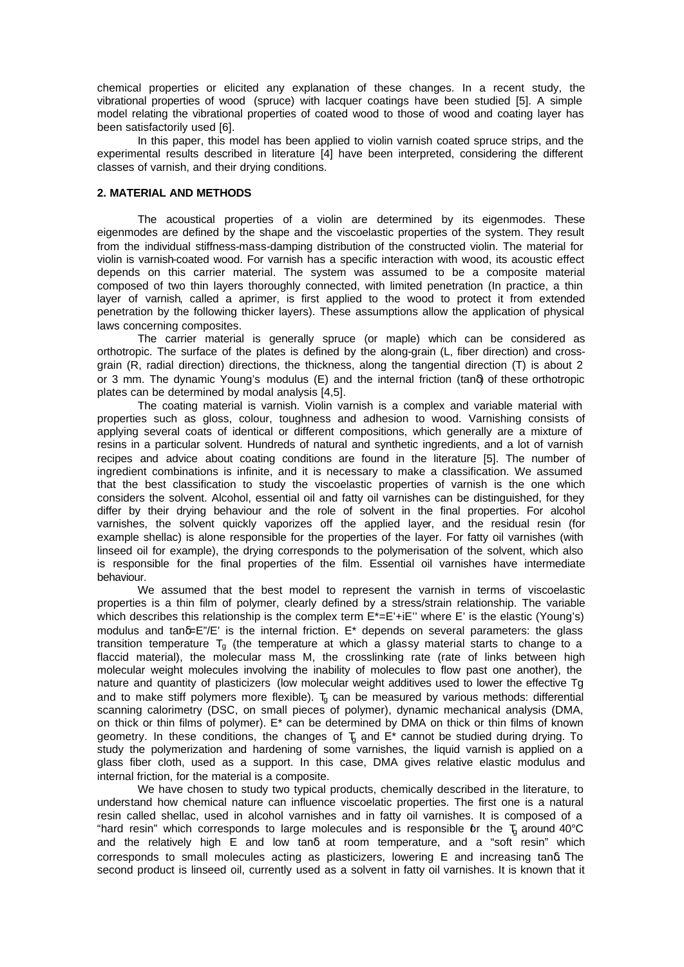chemical properties or elicited any explanation of these changes. In a recent study, the vibrational properties of wood (spruce) with lacquer coatings have been studied [5]. A simple model relating the vibrational properties of coated wood to those of wood and coating layer has been satisfactorily used [6].

In this paper, this model has been applied to violin varnish coated spruce strips, and the experimental results described in literature [4] have been interpreted, considering the different classes of varnish, and their drying conditions.

## **2. MATERIAL AND METHODS**

The acoustical properties of a violin are determined by its eigenmodes. These eigenmodes are defined by the shape and the viscoelastic properties of the system. They result from the individual stiffness-mass-damping distribution of the constructed violin. The material for violin is varnish-coated wood. For varnish has a specific interaction with wood, its acoustic effect depends on this carrier material. The system was assumed to be a composite material composed of two thin layers thoroughly connected, with limited penetration (In practice, a thin layer of varnish, called a aprimer, is first applied to the wood to protect it from extended penetration by the following thicker layers). These assumptions allow the application of physical laws concerning composites.

The carrier material is generally spruce (or maple) which can be considered as orthotropic. The surface of the plates is defined by the along-grain (L, fiber direction) and crossgrain (R, radial direction) directions, the thickness, along the tangential direction (T) is about 2 or 3 mm. The dynamic Young's modulus (E) and the internal friction (tanδ) of these orthotropic plates can be determined by modal analysis [4,5].

The coating material is varnish. Violin varnish is a complex and variable material with properties such as gloss, colour, toughness and adhesion to wood. Varnishing consists of applying several coats of identical or different compositions, which generally are a mixture of resins in a particular solvent. Hundreds of natural and synthetic ingredients, and a lot of varnish recipes and advice about coating conditions are found in the literature [5]. The number of ingredient combinations is infinite, and it is necessary to make a classification. We assumed that the best classification to study the viscoelastic properties of varnish is the one which considers the solvent. Alcohol, essential oil and fatty oil varnishes can be distinguished, for they differ by their drying behaviour and the role of solvent in the final properties. For alcohol varnishes, the solvent quickly vaporizes off the applied layer, and the residual resin (for example shellac) is alone responsible for the properties of the layer. For fatty oil varnishes (with linseed oil for example), the drying corresponds to the polymerisation of the solvent, which also is responsible for the final properties of the film. Essential oil varnishes have intermediate behaviour.

We assumed that the best model to represent the varnish in terms of viscoelastic properties is a thin film of polymer, clearly defined by a stress/strain relationship. The variable which describes this relationship is the complex term  $E^* = E' + iE''$  where E' is the elastic (Young's) modulus and tanδ=E"/E' is the internal friction. E\* depends on several parameters: the glass transition temperature  $T<sub>g</sub>$  (the temperature at which a glassy material starts to change to a flaccid material), the molecular mass M, the crosslinking rate (rate of links between high molecular weight molecules involving the inability of molecules to flow past one another), the nature and quantity of plasticizers (low molecular weight additives used to lower the effective Tg and to make stiff polymers more flexible).  $T_q$  can be measured by various methods: differential scanning calorimetry (DSC, on small pieces of polymer), dynamic mechanical analysis (DMA, on thick or thin films of polymer). E\* can be determined by DMA on thick or thin films of known geometry. In these conditions, the changes of  $T<sub>0</sub>$  and  $E<sup>*</sup>$  cannot be studied during drying. To study the polymerization and hardening of some varnishes, the liquid varnish is applied on a glass fiber cloth, used as a support. In this case, DMA gives relative elastic modulus and internal friction, for the material is a composite.

We have chosen to study two typical products, chemically described in the literature, to understand how chemical nature can influence viscoelatic properties. The first one is a natural resin called shellac, used in alcohol varnishes and in fatty oil varnishes. It is composed of a "hard resin" which corresponds to large molecules and is responsible or the  $T<sub>0</sub>$  around 40°C and the relatively high E and low tanδ at room temperature, and a "soft resin" which corresponds to small molecules acting as plasticizers, lowering E and increasing tanδ. The second product is linseed oil, currently used as a solvent in fatty oil varnishes. It is known that it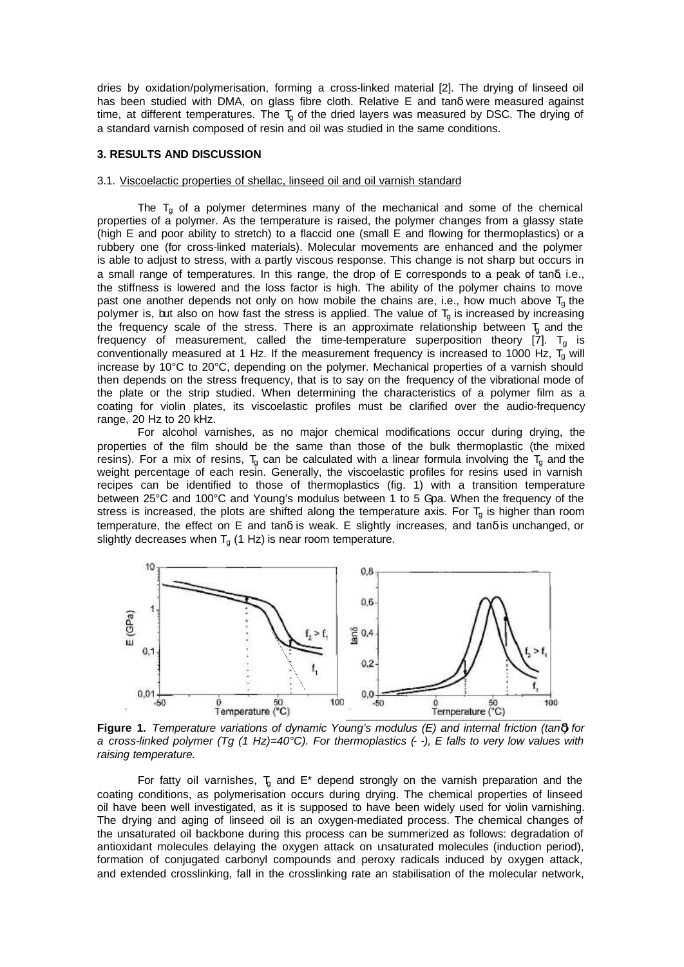dries by oxidation/polymerisation, forming a cross-linked material [2]. The drying of linseed oil has been studied with DMA, on glass fibre cloth. Relative E and tanδ were measured against time, at different temperatures. The  $T<sub>q</sub>$  of the dried layers was measured by DSC. The drying of a standard varnish composed of resin and oil was studied in the same conditions.

# **3. RESULTS AND DISCUSSION**

#### 3.1. Viscoelactic properties of shellac, linseed oil and oil varnish standard

The  $T<sub>g</sub>$  of a polymer determines many of the mechanical and some of the chemical properties of a polymer. As the temperature is raised, the polymer changes from a glassy state (high E and poor ability to stretch) to a flaccid one (small E and flowing for thermoplastics) or a rubbery one (for cross-linked materials). Molecular movements are enhanced and the polymer is able to adjust to stress, with a partly viscous response. This change is not sharp but occurs in a small range of temperatures. In this range, the drop of E corresponds to a peak of tanδ, i.e., the stiffness is lowered and the loss factor is high. The ability of the polymer chains to move past one another depends not only on how mobile the chains are, i.e., how much above  $T<sub>g</sub>$  the polymer is, but also on how fast the stress is applied. The value of  $T_q$  is increased by increasing the frequency scale of the stress. There is an approximate relationship between  $\tau<sub>g</sub>$  and the frequency of measurement, called the time-temperature superposition theory  $[\bar{7}]$ .  $T_q$  is conventionally measured at 1 Hz. If the measurement frequency is increased to 1000 Hz,  $T_{q}$  will increase by 10°C to 20°C, depending on the polymer. Mechanical properties of a varnish should then depends on the stress frequency, that is to say on the frequency of the vibrational mode of the plate or the strip studied. When determining the characteristics of a polymer film as a coating for violin plates, its viscoelastic profiles must be clarified over the audio-frequency range, 20 Hz to 20 kHz.

For alcohol varnishes, as no major chemical modifications occur during drying, the properties of the film should be the same than those of the bulk thermoplastic (the mixed resins). For a mix of resins,  $T_q$  can be calculated with a linear formula involving the  $T_q$  and the weight percentage of each resin. Generally, the viscoelastic profiles for resins used in varnish recipes can be identified to those of thermoplastics (fig. 1) with a transition temperature between 25°C and 100°C and Young's modulus between 1 to 5 Gpa. When the frequency of the stress is increased, the plots are shifted along the temperature axis. For  $T_q$  is higher than room temperature, the effect on E and tanδ is weak. E slightly increases, and tanδ is unchanged, or slightly decreases when  $T_q$  (1 Hz) is near room temperature.



**Figure 1.** *Temperature variations of dynamic Young's modulus (E) and internal friction (tand) for a cross-linked polymer (Tg (1 Hz)=40°C). For thermoplastics (- -), E falls to very low values with raising temperature.*

For fatty oil varnishes,  $T_q$  and  $E^*$  depend strongly on the varnish preparation and the coating conditions, as polymerisation occurs during drying. The chemical properties of linseed oil have been well investigated, as it is supposed to have been widely used for violin varnishing. The drying and aging of linseed oil is an oxygen-mediated process. The chemical changes of the unsaturated oil backbone during this process can be summerized as follows: degradation of antioxidant molecules delaying the oxygen attack on unsaturated molecules (induction period), formation of conjugated carbonyl compounds and peroxy radicals induced by oxygen attack, and extended crosslinking, fall in the crosslinking rate an stabilisation of the molecular network,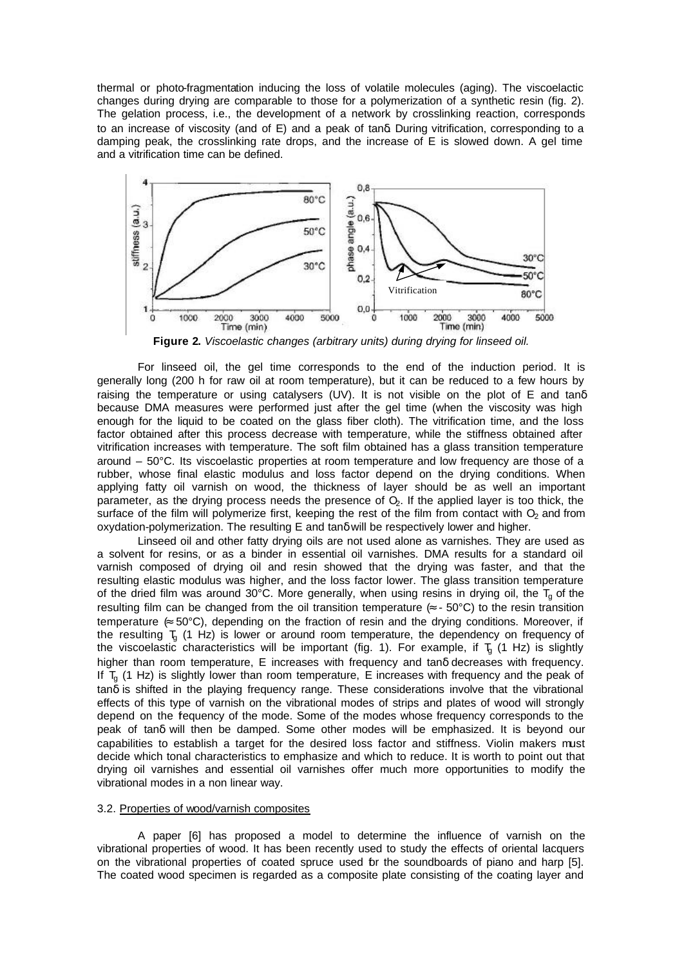thermal or photo-fragmentation inducing the loss of volatile molecules (aging). The viscoelactic changes during drying are comparable to those for a polymerization of a synthetic resin (fig. 2). The gelation process, i.e., the development of a network by crosslinking reaction, corresponds to an increase of viscosity (and of E) and a peak of tanδ. During vitrification, corresponding to a damping peak, the crosslinking rate drops, and the increase of E is slowed down. A gel time and a vitrification time can be defined.



**Figure 2.** *Viscoelastic changes (arbitrary units) during drying for linseed oil.*

For linseed oil, the gel time corresponds to the end of the induction period. It is generally long (200 h for raw oil at room temperature), but it can be reduced to a few hours by raising the temperature or using catalysers (UV). It is not visible on the plot of E and tanδ because DMA measures were performed just after the gel time (when the viscosity was high enough for the liquid to be coated on the glass fiber cloth). The vitrification time, and the loss factor obtained after this process decrease with temperature, while the stiffness obtained after vitrification increases with temperature. The soft film obtained has a glass transition temperature around – 50°C. Its viscoelastic properties at room temperature and low frequency are those of a rubber, whose final elastic modulus and loss factor depend on the drying conditions. When applying fatty oil varnish on wood, the thickness of layer should be as well an important parameter, as the drying process needs the presence of  $\ddot{O}$ . If the applied layer is too thick, the surface of the film will polymerize first, keeping the rest of the film from contact with  $O<sub>2</sub>$  and from oxydation-polymerization. The resulting E and tanδ will be respectively lower and higher.

Linseed oil and other fatty drying oils are not used alone as varnishes. They are used as a solvent for resins, or as a binder in essential oil varnishes. DMA results for a standard oil varnish composed of drying oil and resin showed that the drying was faster, and that the resulting elastic modulus was higher, and the loss factor lower. The glass transition temperature of the dried film was around 30°C. More generally, when using resins in drying oil, the  $T<sub>g</sub>$  of the resulting film can be changed from the oil transition temperature  $(\approx -50^{\circ}C)$  to the resin transition temperature  $\epsilon$  50°C), depending on the fraction of resin and the drying conditions. Moreover, if the resulting  $T_q$  (1 Hz) is lower or around room temperature, the dependency on frequency of the viscoelastic characteristics will be important (fig. 1). For example, if  $\overline{I}_{g}$  (1 Hz) is slightly higher than room temperature, E increases with frequency and tanδ decreases with frequency. If  $T_q$  (1 Hz) is slightly lower than room temperature, E increases with frequency and the peak of tanδ is shifted in the playing frequency range. These considerations involve that the vibrational effects of this type of varnish on the vibrational modes of strips and plates of wood will strongly depend on the frequency of the mode. Some of the modes whose frequency corresponds to the peak of tanδ will then be damped. Some other modes will be emphasized. It is beyond our capabilities to establish a target for the desired loss factor and stiffness. Violin makers must decide which tonal characteristics to emphasize and which to reduce. It is worth to point out that drying oil varnishes and essential oil varnishes offer much more opportunities to modify the vibrational modes in a non linear way.

#### 3.2. Properties of wood/varnish composites

A paper [6] has proposed a model to determine the influence of varnish on the vibrational properties of wood. It has been recently used to study the effects of oriental lacquers on the vibrational properties of coated spruce used for the soundboards of piano and harp [5]. The coated wood specimen is regarded as a composite plate consisting of the coating layer and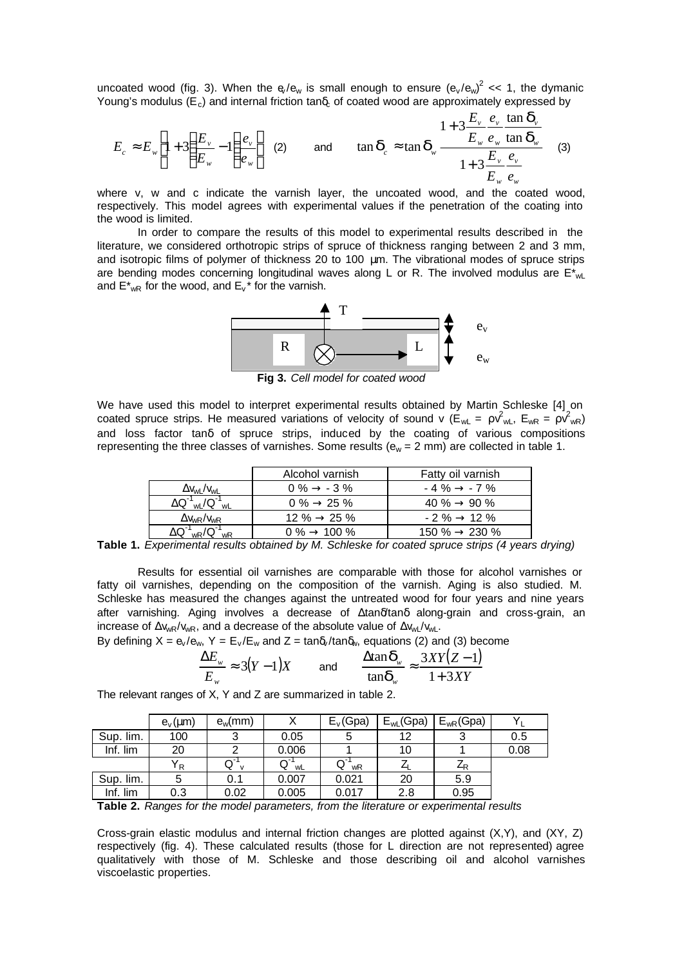uncoated wood (fig. 3). When the  $e/e_w$  is small enough to ensure  $(e_v/e_w)^2 \ll 1$ , the dymanic Young's modulus ( $E_c$ ) and internal friction tan $\delta_c$  of coated wood are approximately expressed by

*E*

$$
E_c \approx E_w \left[ 1 + 3 \left( \frac{E_v}{E_w} - 1 \right) \frac{e_v}{e_w} \right] \quad (2) \qquad \text{and} \qquad \tan \boldsymbol{d}_c \approx \tan \boldsymbol{d}_w \frac{1 + 3 \frac{E_v}{E_w} \frac{e_v}{e_w} \frac{\tan \boldsymbol{d}_v}{\tan \boldsymbol{d}_w}}{1 + 3 \frac{E_v}{E_w} \frac{e_v}{e_w}} \quad (3)
$$

where v, w and c indicate the varnish layer, the uncoated wood, and the coated wood, respectively. This model agrees with experimental values if the penetration of the coating into the wood is limited.

In order to compare the results of this model to experimental results described in the literature, we considered orthotropic strips of spruce of thickness ranging between 2 and 3 mm, and isotropic films of polymer of thickness 20 to 100 μm. The vibrational modes of spruce strips are bending modes concerning longitudinal waves along L or R. The involved modulus are  $E^*_{\text{w}}$ and  $E^*_{WR}$  for the wood, and  $E_v^*$  for the varnish.



**Fig 3.** *Cell model for coated wood*

We have used this model to interpret experimental results obtained by Martin Schleske [4] on coated spruce strips. He measured variations of velocity of sound v ( $E_{wL} = \rho v_{wL}^2$ ,  $E_{wR} = \rho v_{wR}^2$ ) and loss factor tanδ of spruce strips, induced by the coating of various compositions representing the three classes of varnishes. Some results ( $e_w = 2$  mm) are collected in table 1.

|                                                        | Alcohol varnish<br>Fatty oil varnish |                           |  |  |
|--------------------------------------------------------|--------------------------------------|---------------------------|--|--|
| $\Delta V_{\text{wl}}/V_{\text{wl}}$                   | $0\% \rightarrow -3\%$               | $-4\% \rightarrow -7\%$   |  |  |
| $\Delta Q^{-1}$ <sub>WL</sub> / $Q^{-1}$ <sub>WL</sub> | $0\% \rightarrow 25\%$               | 40 % $\rightarrow$ 90 %   |  |  |
| $\Delta V_{WR}/V_{WR}$                                 | $12\% \rightarrow 25\%$              | $-2\% \rightarrow 12\%$   |  |  |
|                                                        | $0\% \rightarrow 100\%$              | 150 % $\rightarrow$ 230 % |  |  |

**Table 1.** *Experimental results obtained by M. Schleske for coated spruce strips (4 years drying)*

Results for essential oil varnishes are comparable with those for alcohol varnishes or fatty oil varnishes, depending on the composition of the varnish. Aging is also studied. M. Schleske has measured the changes against the untreated wood for four years and nine years after varnishing. Aging involves a decrease of Δtanδ/tanδ along-grain and cross-grain, an increase of  $\Delta v_{\text{WR}}/v_{\text{WR}}$ , and a decrease of the absolute value of  $\Delta v_{\text{WL}}/v_{\text{WL}}$ .

By defining  $X = e_v/e_w$ ,  $Y = E_v/E_w$  and  $Z = \tan \delta_v / \tan \delta_w$ , equations (2) and (3) become

$$
\frac{\Delta E_w}{E_w} \approx 3(Y-1)X \quad \text{and} \quad \frac{\Delta \tan \boldsymbol{d}_w}{\tan \boldsymbol{d}_w} \approx \frac{3XY(Z-1)}{1+3XY}
$$

The relevant ranges of X, Y and Z are summarized in table 2.

|             | $e_v(\mu m)$            | $e_{w}(mm)$ |         | $E_v$ (Gpa) | $E_{WL}(Gpa)$ | $E_{wR}$ (Gpa) |      |
|-------------|-------------------------|-------------|---------|-------------|---------------|----------------|------|
| Sup. lim.   | 100                     |             | 0.05    |             | 12            | ◠              | 0.5  |
| Inf. lim    | 20                      |             | 0.006   |             | 10            |                | 0.08 |
|             | $\mathsf{Y}_\mathsf{R}$ | Q           | Q<br>wL | Q<br>wR     |               | ∠R             |      |
| Sup. lim.   | 5                       | 0.1         | 0.007   | 0.021       | 20            | 5.9            |      |
| lim<br>Inf. | 0.3                     | 0.02        | 0.005   | 0.017       | 2.8           | 0.95           |      |

**Table 2.** *Ranges for the model parameters, from the literature or experimental results*

Cross-grain elastic modulus and internal friction changes are plotted against (X,Y), and (XY, Z) respectively (fig. 4). These calculated results (those for L direction are not represented) agree qualitatively with those of M. Schleske and those describing oil and alcohol varnishes viscoelastic properties.